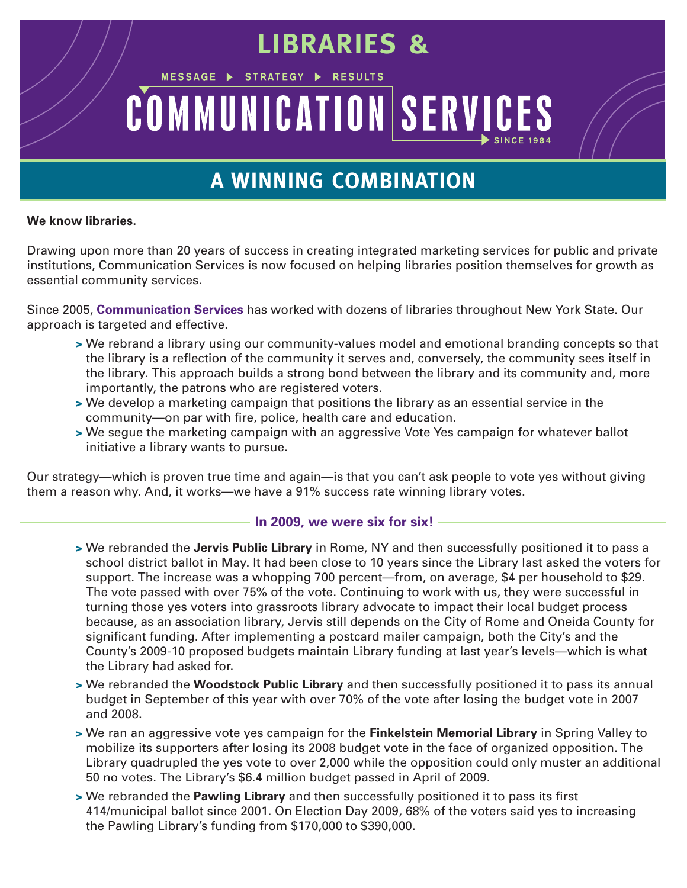# **LIBRARIES &**

# COMMUNICATION SERVICES

STRATEGY >

MESSAGE >

# **A WINNING COMBINATION**

#### **We know libraries.**

Drawing upon more than 20 years of success in creating integrated marketing services for public and private institutions, Communication Services is now focused on helping libraries position themselves for growth as essential community services.

Since 2005, **Communication Services** has worked with dozens of libraries throughout New York State. Our approach is targeted and effective.

- **>** We rebrand a library using our community-values model and emotional branding concepts so that the library is a reflection of the community it serves and, conversely, the community sees itself in the library. This approach builds a strong bond between the library and its community and, more importantly, the patrons who are registered voters.
- **>** We develop a marketing campaign that positions the library as an essential service in the community—on par with fire, police, health care and education.
- **>** We segue the marketing campaign with an aggressive Vote Yes campaign for whatever ballot initiative a library wants to pursue.

Our strategy—which is proven true time and again—is that you can't ask people to vote yes without giving them a reason why. And, it works—we have a 91% success rate winning library votes.

#### **In 2009, we were six for six!**

- **>** We rebranded the **Jervis Public Library** in Rome, NY and then successfully positioned it to pass a school district ballot in May. It had been close to 10 years since the Library last asked the voters for support. The increase was a whopping 700 percent—from, on average, \$4 per household to \$29. The vote passed with over 75% of the vote. Continuing to work with us, they were successful in turning those yes voters into grassroots library advocate to impact their local budget process because, as an association library, Jervis still depends on the City of Rome and Oneida County for significant funding. After implementing a postcard mailer campaign, both the City's and the County's 2009-10 proposed budgets maintain Library funding at last year's levels—which is what the Library had asked for.
- **>** We rebranded the **Woodstock Public Library** and then successfully positioned it to pass its annual budget in September of this year with over 70% of the vote after losing the budget vote in 2007 and 2008.
- **>** We ran an aggressive vote yes campaign for the **Finkelstein Memorial Library** in Spring Valley to mobilize its supporters after losing its 2008 budget vote in the face of organized opposition. The Library quadrupled the yes vote to over 2,000 while the opposition could only muster an additional 50 no votes. The Library's \$6.4 million budget passed in April of 2009.
- **>** We rebranded the **Pawling Library** and then successfully positioned it to pass its first 414/municipal ballot since 2001. On Election Day 2009, 68% of the voters said yes to increasing the Pawling Library's funding from \$170,000 to \$390,000.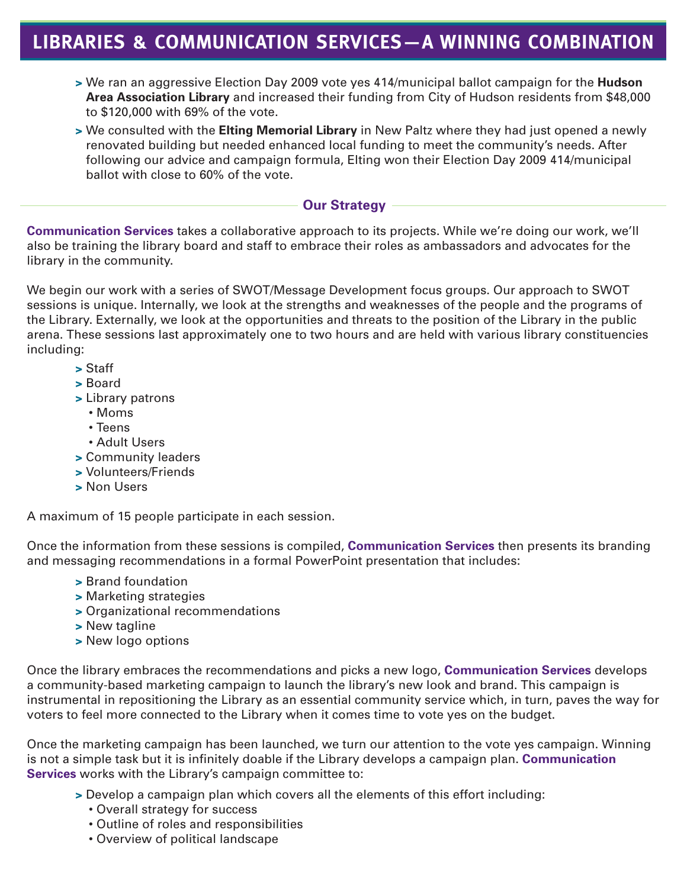## **LIBRARIES & COMMUNICATION SERVICES—A WINNING COMBINATION**

- **>** We ran an aggressive Election Day 2009 vote yes 414/municipal ballot campaign for the **Hudson Area Association Library** and increased their funding from City of Hudson residents from \$48,000 to \$120,000 with 69% of the vote.
- **>** We consulted with the **Elting Memorial Library** in New Paltz where they had just opened a newly renovated building but needed enhanced local funding to meet the community's needs. After following our advice and campaign formula, Elting won their Election Day 2009 414/municipal ballot with close to 60% of the vote.

#### **Our Strategy**

**Communication Services** takes a collaborative approach to its projects. While we're doing our work, we'll also be training the library board and staff to embrace their roles as ambassadors and advocates for the library in the community.

We begin our work with a series of SWOT/Message Development focus groups. Our approach to SWOT sessions is unique. Internally, we look at the strengths and weaknesses of the people and the programs of the Library. Externally, we look at the opportunities and threats to the position of the Library in the public arena. These sessions last approximately one to two hours and are held with various library constituencies including:

- **>** Staff
- **>** Board
- **>** Library patrons
	- Moms
	- Teens
	- Adult Users
- **>** Community leaders
- **>** Volunteers/Friends
- **>** Non Users

A maximum of 15 people participate in each session.

Once the information from these sessions is compiled, **Communication Services** then presents its branding and messaging recommendations in a formal PowerPoint presentation that includes:

- **>** Brand foundation
- **>** Marketing strategies
- **>** Organizational recommendations
- **>** New tagline
- **>** New logo options

Once the library embraces the recommendations and picks a new logo, **Communication Services** develops a community-based marketing campaign to launch the library's new look and brand. This campaign is instrumental in repositioning the Library as an essential community service which, in turn, paves the way for voters to feel more connected to the Library when it comes time to vote yes on the budget.

Once the marketing campaign has been launched, we turn our attention to the vote yes campaign. Winning is not a simple task but it is infinitely doable if the Library develops a campaign plan. **Communication Services** works with the Library's campaign committee to:

- **>** Develop a campaign plan which covers all the elements of this effort including:
	- Overall strategy for success
	- Outline of roles and responsibilities
	- Overview of political landscape